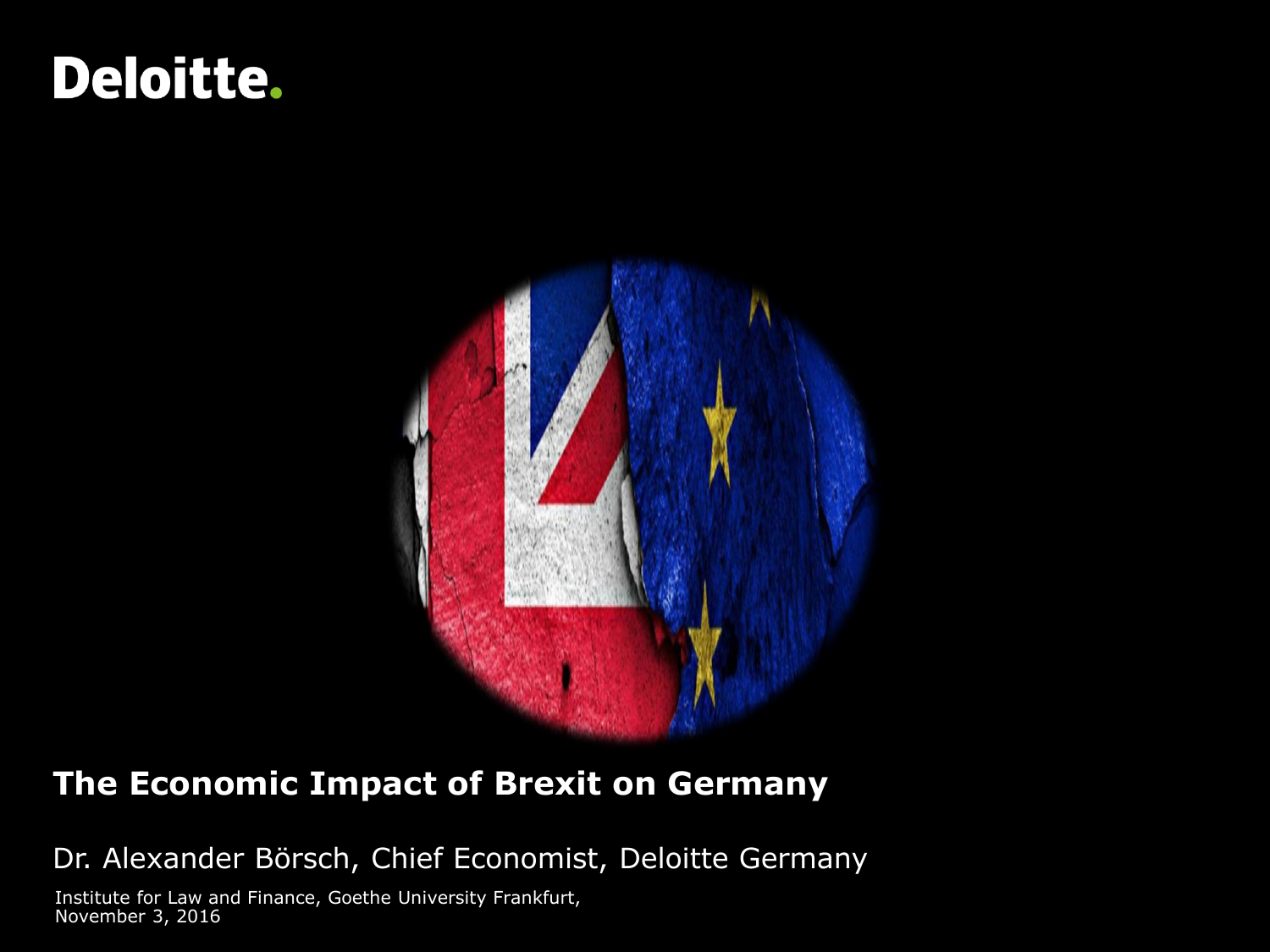# **Deloitte.**



### **The Economic Impact of Brexit on Germany**

Dr. Alexander Börsch, Chief Economist, Deloitte Germany

Institute for Law and Finance, Goethe University Frankfurt, November 3, 2016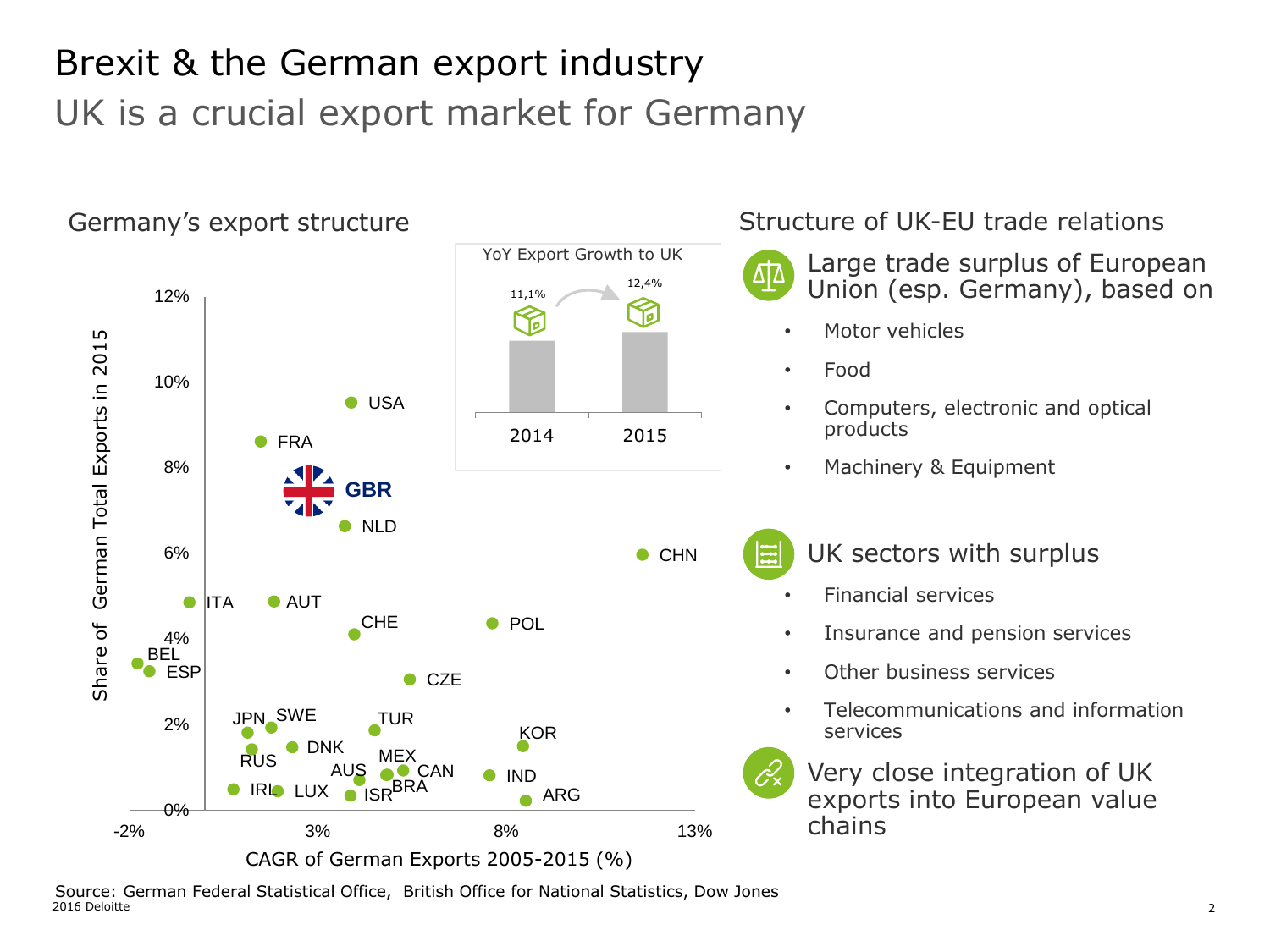## Brexit & the German export industry UK is a crucial export market for Germany



2016 Deloitte 2 Source: German Federal Statistical Office, British Office for National Statistics, Dow Jones<br>2016 Deloitte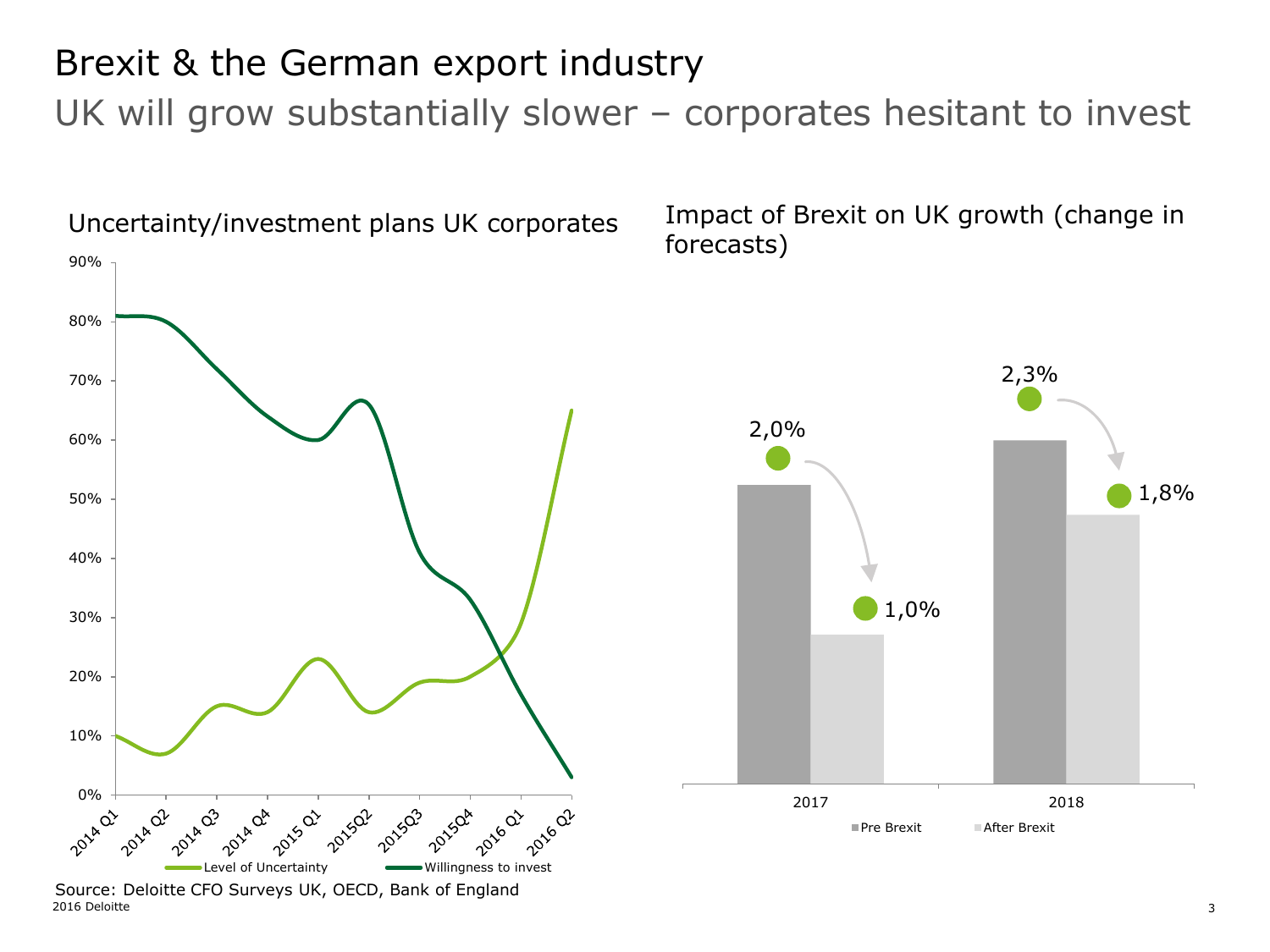### Brexit & the German export industry

UK will grow substantially slower – corporates hesitant to invest



<sup>2016</sup> Deloitte 3 Source: Deloitte CFO Surveys UK, OECD, Bank of England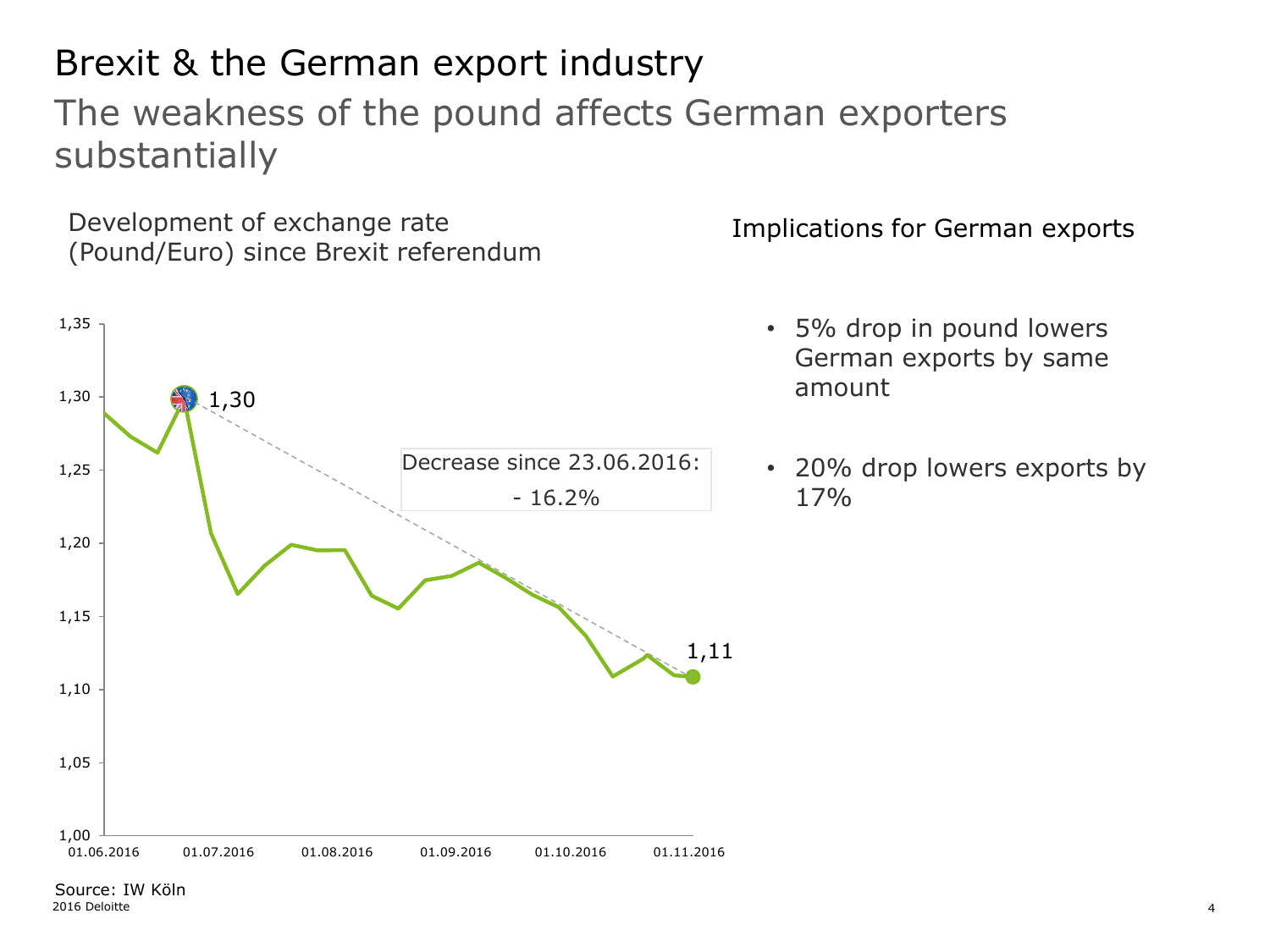#### 2016 Deloitte 4 Source: IW Köln

### Brexit & the German export industry

### The weakness of the pound affects German exporters substantially

Development of exchange rate **Implications for German exports** (Pound/Euro) since Brexit referendum



- 5% drop in pound lowers German exports by same amount
- 20% drop lowers exports by 17%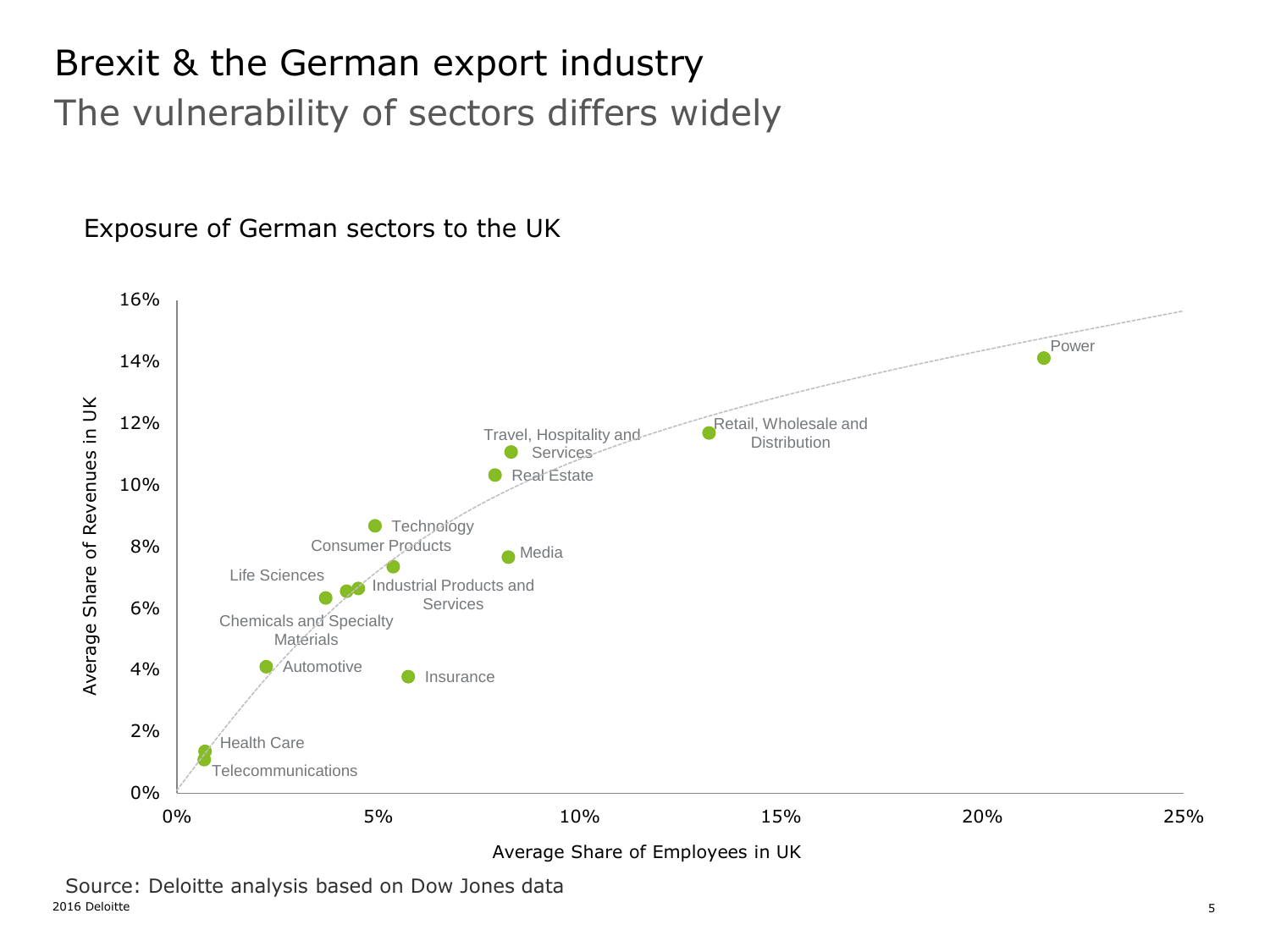## Brexit & the German export industry The vulnerability of sectors differs widely

Exposure of German sectors to the UK



2016 Deloitte 5 Source: Deloitte analysis based on Dow Jones data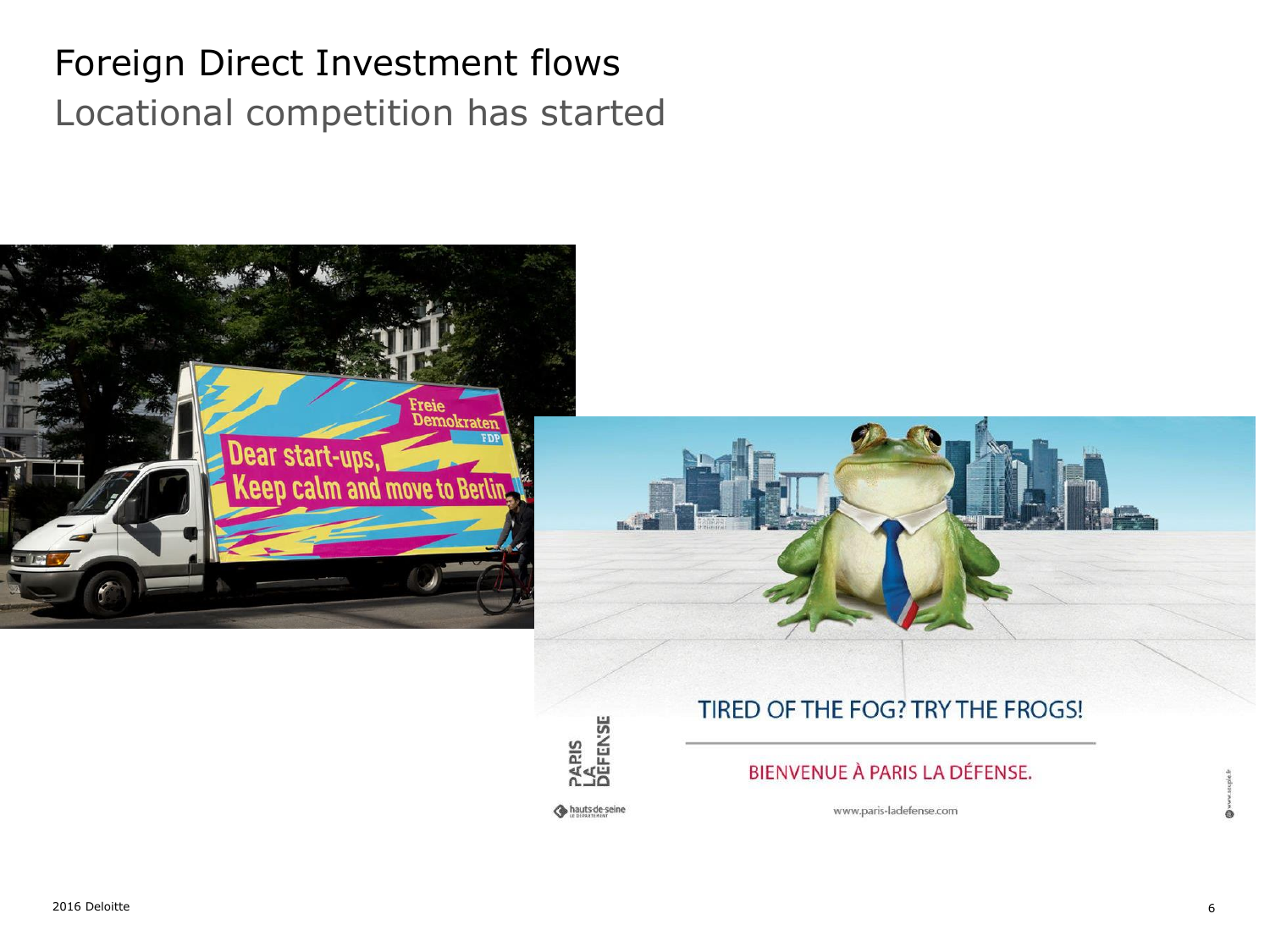### Foreign Direct Investment flows Locational competition has started





#### TIRED OF THE FOG? TRY THE FROGS!

#### BIENVENUE À PARIS LA DÉFENSE.

hauts-de-seine

Paris<br>Lâ<br>Défense

www.paris-ladefense.com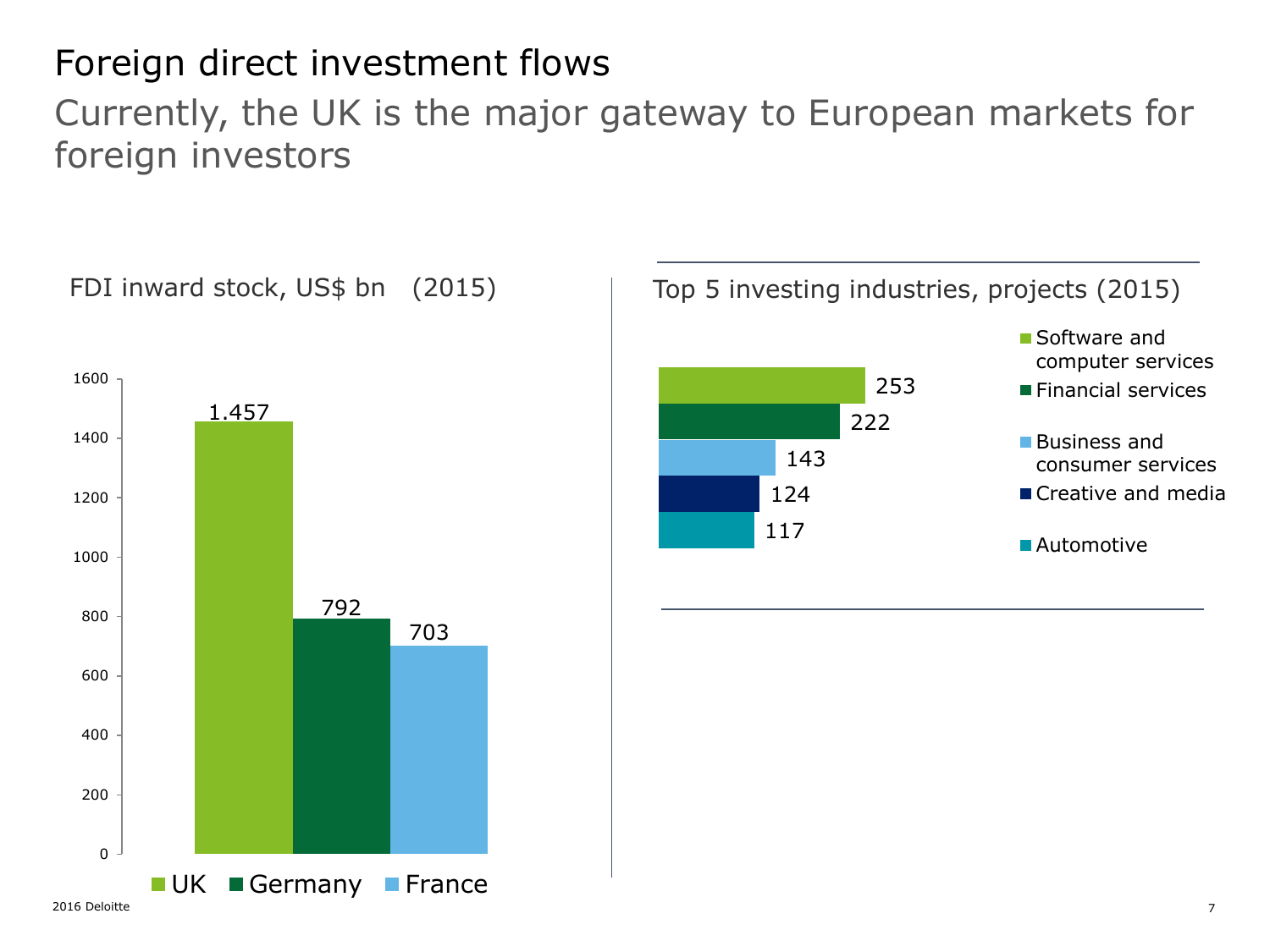### Foreign direct investment flows

Currently, the UK is the major gateway to European markets for foreign investors

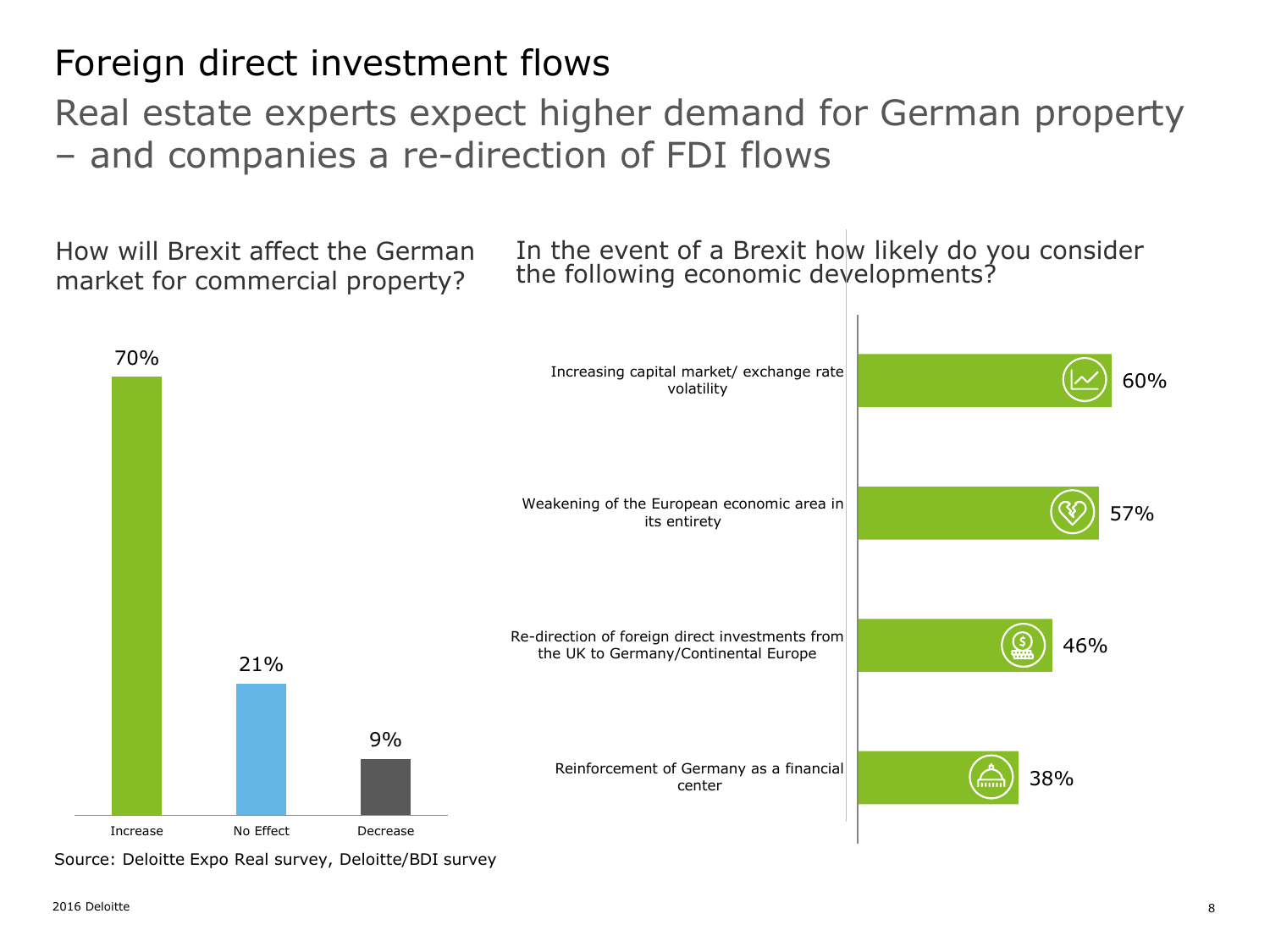### Foreign direct investment flows

Real estate experts expect higher demand for German property – and companies a re-direction of FDI flows

How will Brexit affect the German market for commercial property?

In the event of a Brexit how likely do you consider the following economic developments?



Source: Deloitte Expo Real survey, Deloitte/BDI survey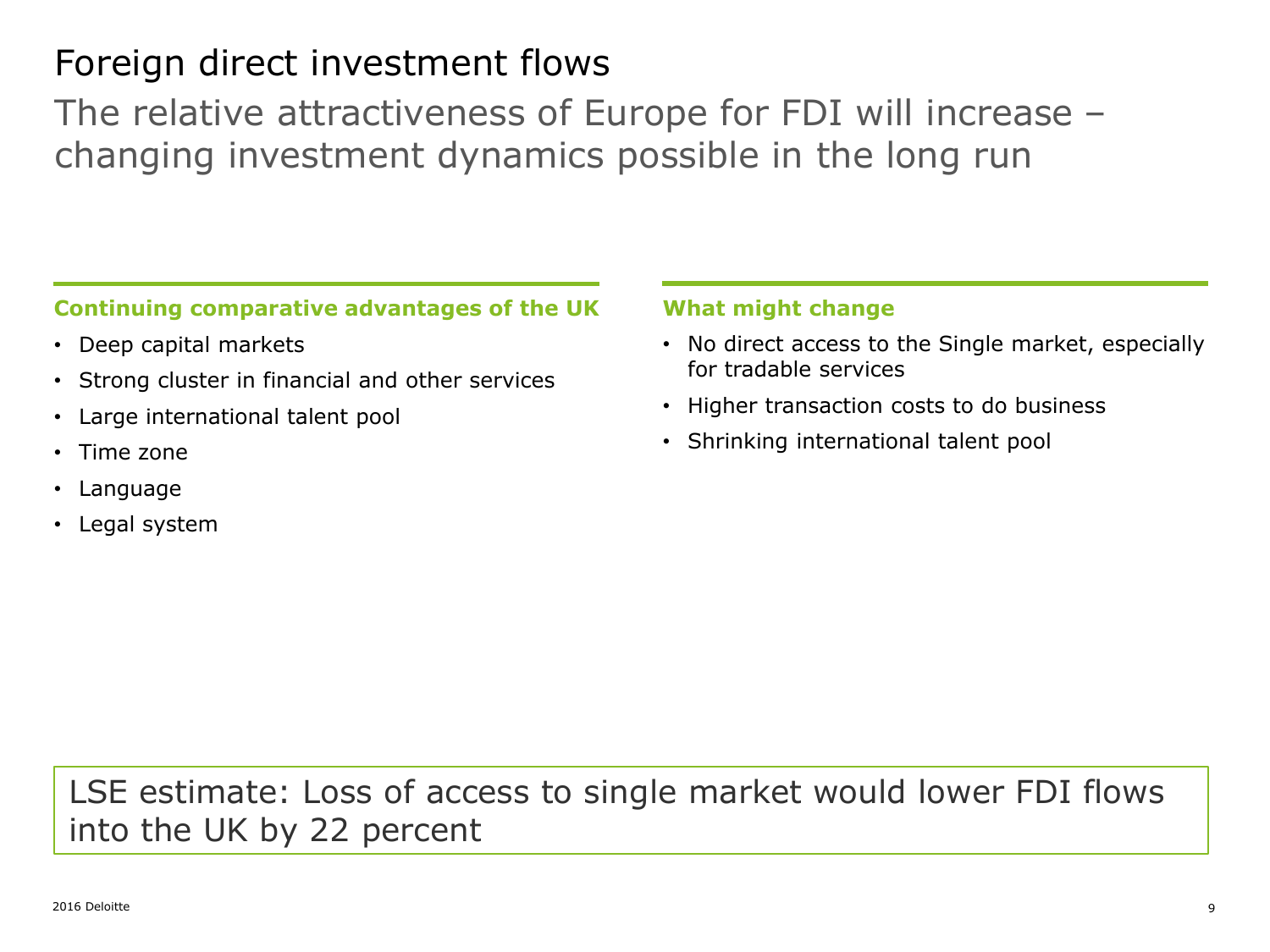### Foreign direct investment flows

The relative attractiveness of Europe for FDI will increase – changing investment dynamics possible in the long run

#### **Continuing comparative advantages of the UK**

- Deep capital markets
- Strong cluster in financial and other services
- Large international talent pool
- Time zone
- Language
- Legal system

#### **What might change**

- No direct access to the Single market, especially for tradable services
- Higher transaction costs to do business
- Shrinking international talent pool

### LSE estimate: Loss of access to single market would lower FDI flows into the UK by 22 percent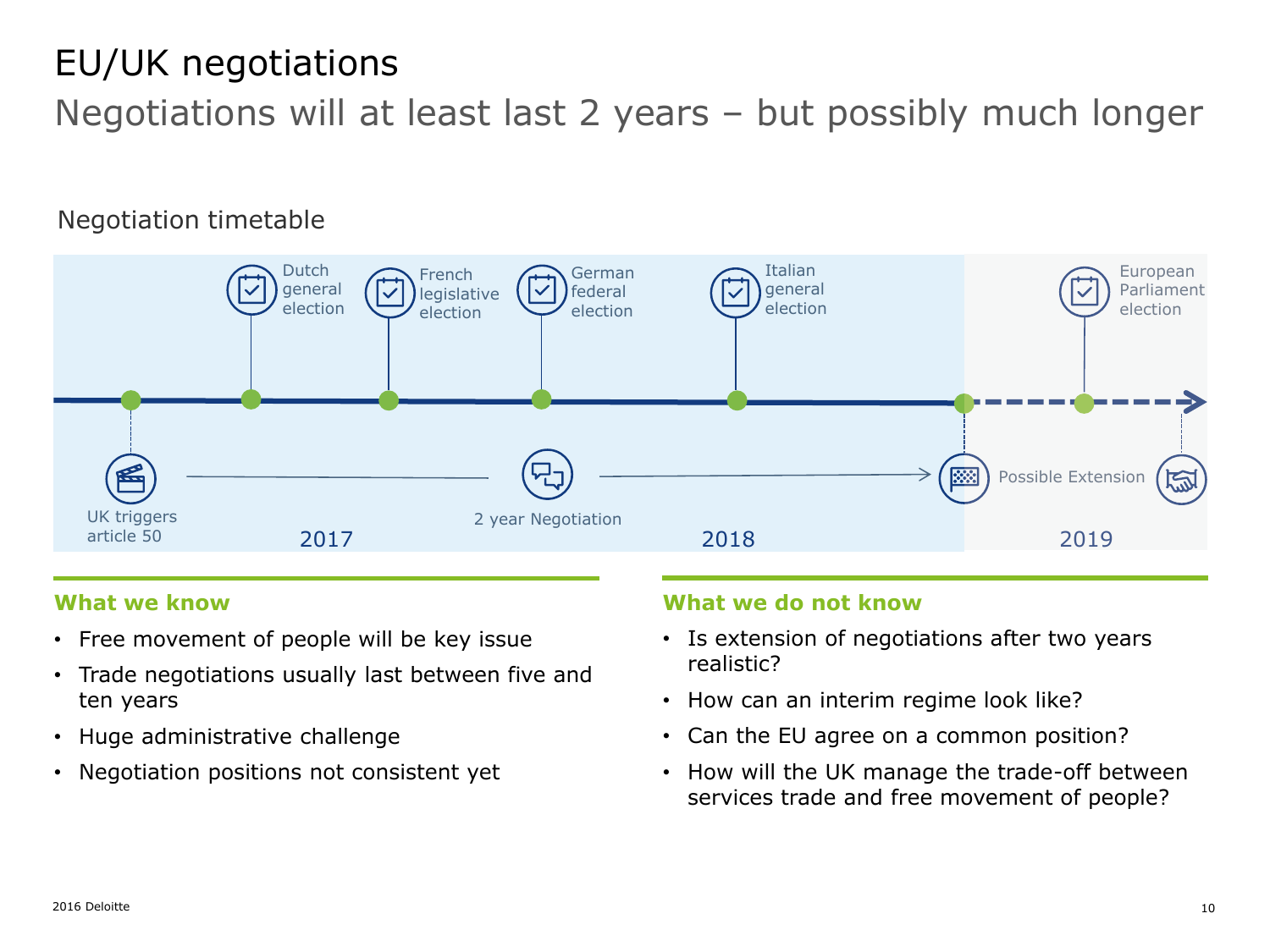### EU/UK negotiations

Negotiations will at least last 2 years – but possibly much longer

### Negotiation timetable



#### **What we know**

- Free movement of people will be key issue
- Trade negotiations usually last between five and ten years
- Huge administrative challenge
- Negotiation positions not consistent yet

#### **What we do not know**

- Is extension of negotiations after two years realistic?
- How can an interim regime look like?
- Can the EU agree on a common position?
- How will the UK manage the trade-off between services trade and free movement of people?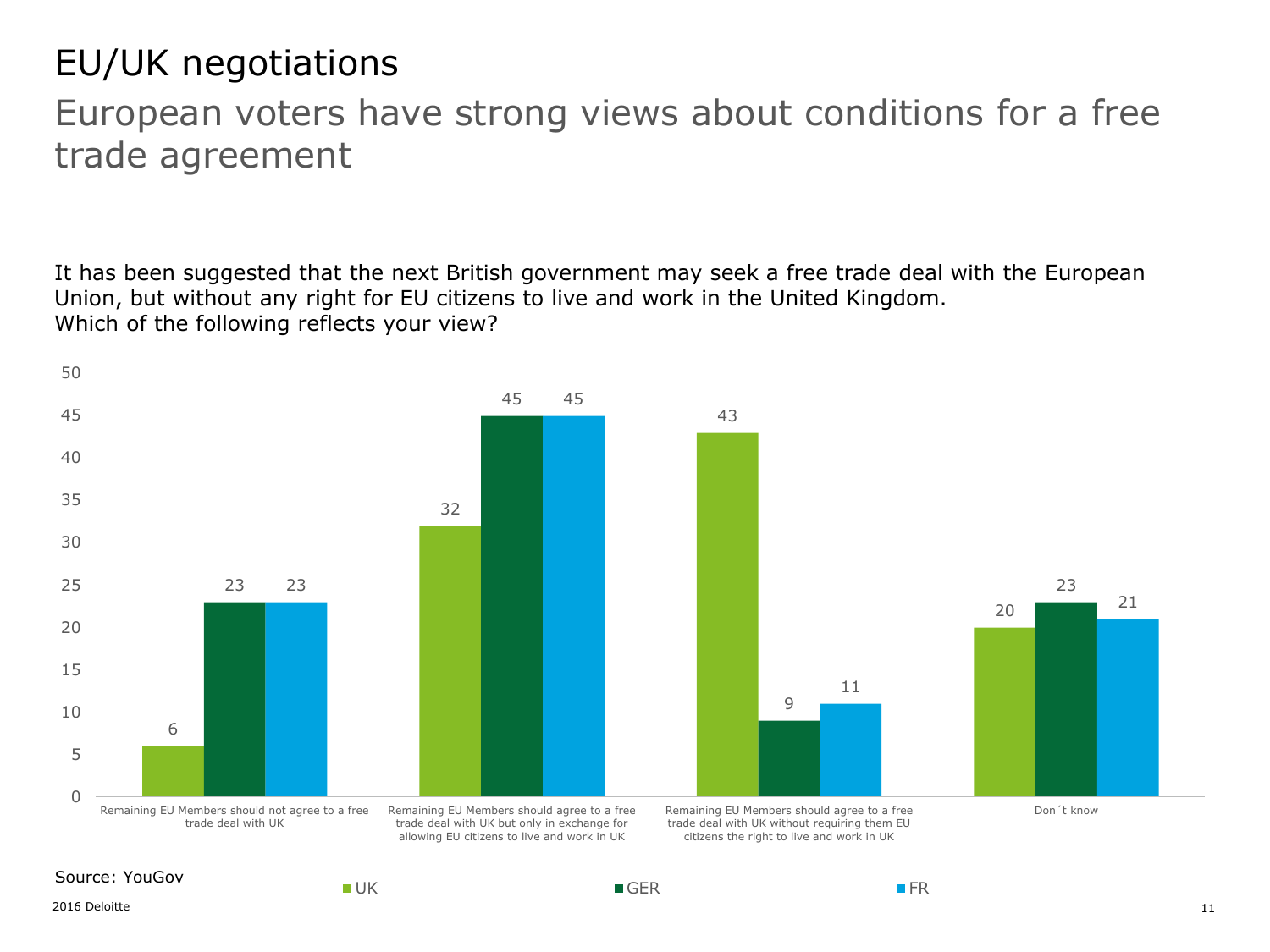### EU/UK negotiations

### European voters have strong views about conditions for a free trade agreement

It has been suggested that the next British government may seek a free trade deal with the European Union, but without any right for EU citizens to live and work in the United Kingdom. Which of the following reflects your view?

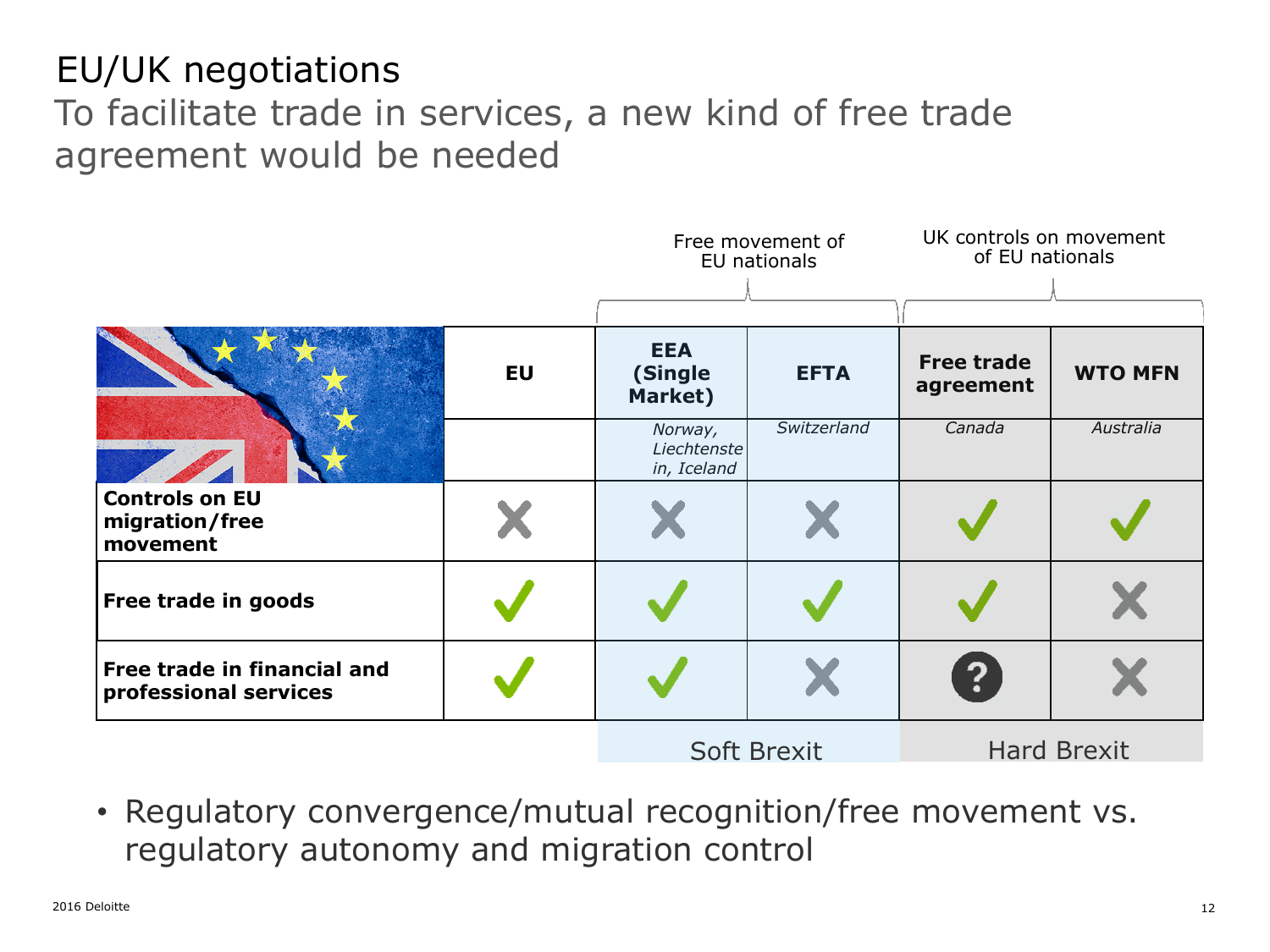### EU/UK negotiations To facilitate trade in services, a new kind of free trade agreement would be needed



• Regulatory convergence/mutual recognition/free movement vs. regulatory autonomy and migration control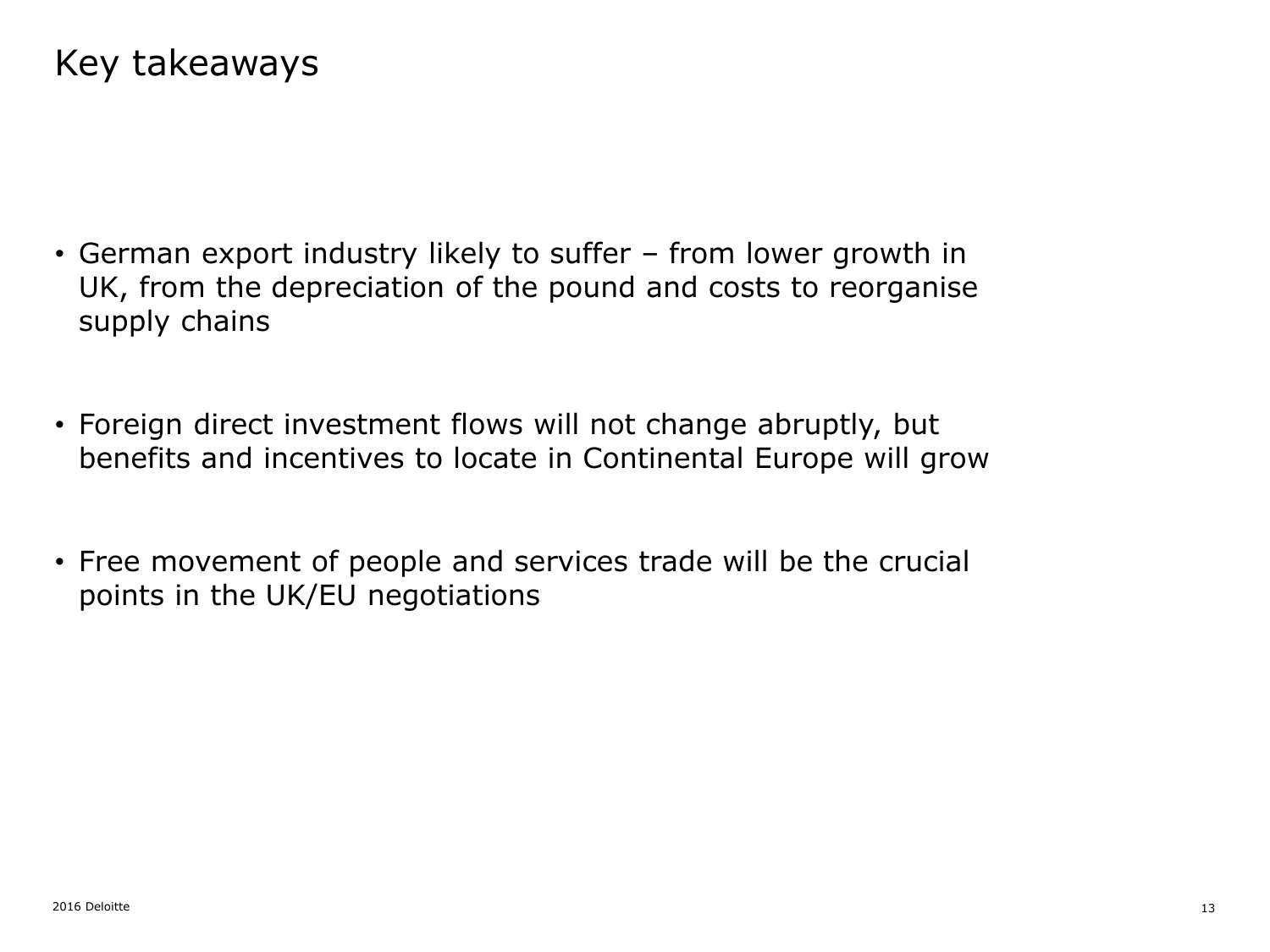### Key takeaways

- German export industry likely to suffer from lower growth in UK, from the depreciation of the pound and costs to reorganise supply chains
- Foreign direct investment flows will not change abruptly, but benefits and incentives to locate in Continental Europe will grow
- Free movement of people and services trade will be the crucial points in the UK/EU negotiations